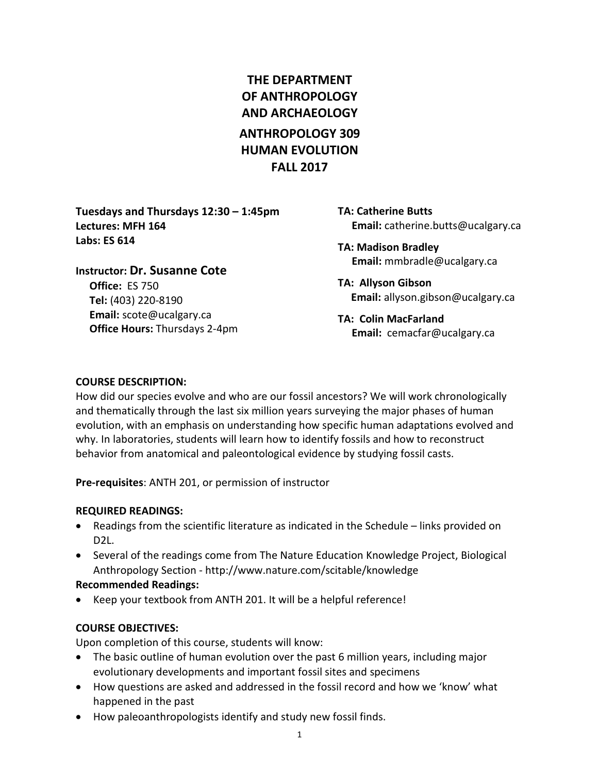# **THE DEPARTMENT OF ANTHROPOLOGY AND ARCHAEOLOGY ANTHROPOLOGY 309 HUMAN EVOLUTION FALL 2017**

**Tuesdays and Thursdays 12:30 – 1:45pm Lectures: MFH 164 Labs: ES 614**

**Instructor: Dr. Susanne Cote Office:** ES 750 **Tel:** (403) 220-8190 **Email:** [scote@ucalgary.ca](mailto:scote@ucalgary.ca) **Office Hours:** Thursdays 2-4pm **TA: Catherine Butts Email:** [catherine.butts@ucalgary.ca](mailto:catherine.butts@ucalgary.ca)

**TA: Madison Bradley Email:** [mmbradle@ucalgary.ca](mailto:mmbradle@ucalgary.ca)

**TA: Allyson Gibson Email:** [allyson.gibson@ucalgary.ca](mailto:allyson.gibson@ucalgary.ca)

**TA: Colin MacFarland Email:** [cemacfar@ucalgary.ca](mailto:cemacfar@ucalgary.ca)

#### **COURSE DESCRIPTION:**

How did our species evolve and who are our fossil ancestors? We will work chronologically and thematically through the last six million years surveying the major phases of human evolution, with an emphasis on understanding how specific human adaptations evolved and why. In laboratories, students will learn how to identify fossils and how to reconstruct behavior from anatomical and paleontological evidence by studying fossil casts.

**Pre-requisites**: ANTH 201, or permission of instructor

# **REQUIRED READINGS:**

- Readings from the scientific literature as indicated in the Schedule links provided on D2L.
- Several of the readings come from The Nature Education Knowledge Project, Biological Anthropology Section - <http://www.nature.com/scitable/knowledge>

# **Recommended Readings:**

Keep your textbook from ANTH 201. It will be a helpful reference!

# **COURSE OBJECTIVES:**

Upon completion of this course, students will know:

- The basic outline of human evolution over the past 6 million years, including major evolutionary developments and important fossil sites and specimens
- How questions are asked and addressed in the fossil record and how we 'know' what happened in the past
- How paleoanthropologists identify and study new fossil finds.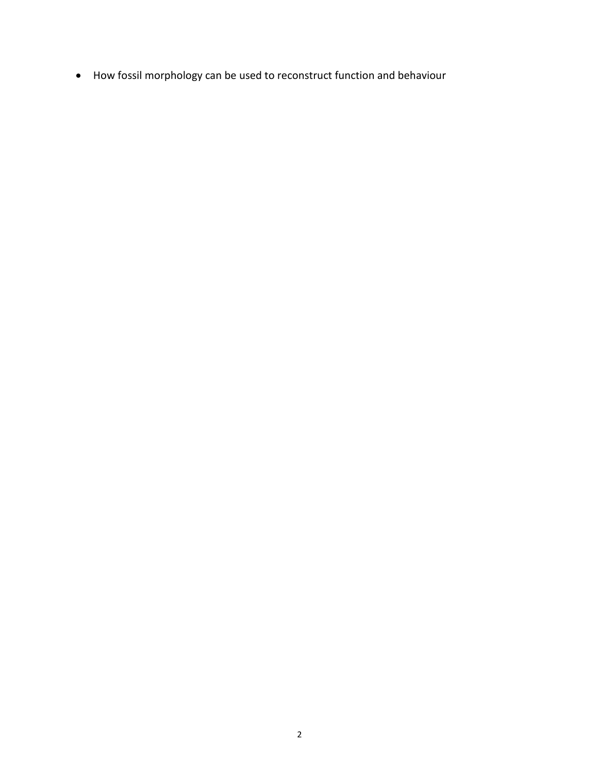• How fossil morphology can be used to reconstruct function and behaviour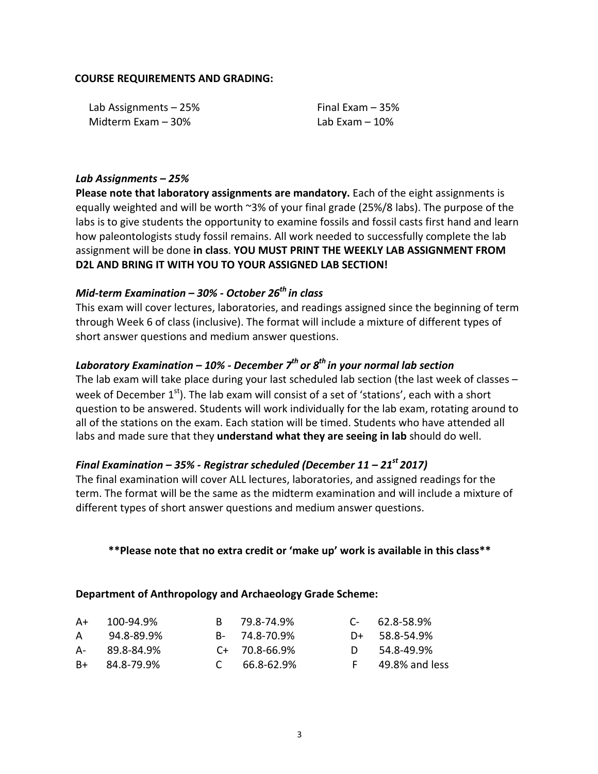#### **COURSE REQUIREMENTS AND GRADING:**

| Lab Assignments - 25% | Final Exam $-35%$ |
|-----------------------|-------------------|
| Midterm Exam – 30%    | Lab Exam – 10%    |

#### *Lab Assignments – 25%*

**Please note that laboratory assignments are mandatory.** Each of the eight assignments is equally weighted and will be worth ~3% of your final grade (25%/8 labs). The purpose of the labs is to give students the opportunity to examine fossils and fossil casts first hand and learn how paleontologists study fossil remains. All work needed to successfully complete the lab assignment will be done **in class**. **YOU MUST PRINT THE WEEKLY LAB ASSIGNMENT FROM D2L AND BRING IT WITH YOU TO YOUR ASSIGNED LAB SECTION!**

# *Mid-term Examination – 30% - October 26th in class*

This exam will cover lectures, laboratories, and readings assigned since the beginning of term through Week 6 of class (inclusive). The format will include a mixture of different types of short answer questions and medium answer questions.

# *Laboratory Examination – 10% - December 7th or 8th in your normal lab section*

The lab exam will take place during your last scheduled lab section (the last week of classes – week of December  $1<sup>st</sup>$ ). The lab exam will consist of a set of 'stations', each with a short question to be answered. Students will work individually for the lab exam, rotating around to all of the stations on the exam. Each station will be timed. Students who have attended all labs and made sure that they **understand what they are seeing in lab** should do well.

#### *Final Examination – 35% - Registrar scheduled (December 11 – 21st 2017)*

The final examination will cover ALL lectures, laboratories, and assigned readings for the term. The format will be the same as the midterm examination and will include a mixture of different types of short answer questions and medium answer questions.

#### **\*\*Please note that no extra credit or 'make up' work is available in this class\*\***

#### **Department of Anthropology and Archaeology Grade Scheme:**

| A+ | 100-94.9%         | R 79.8-74.9%        | $C - 62.8 - 58.9%$ |
|----|-------------------|---------------------|--------------------|
| A  | 94.8-89.9%        | B- 74.8-70.9%       | $D+$ 58.8-54.9%    |
| A- | 89.8-84.9%        | $C_{+}$ 70.8-66.9%  | 54.8-49.9%         |
|    | $B+ 84.8 - 79.9%$ | $C = 66.8 - 62.9\%$ | 49.8% and less     |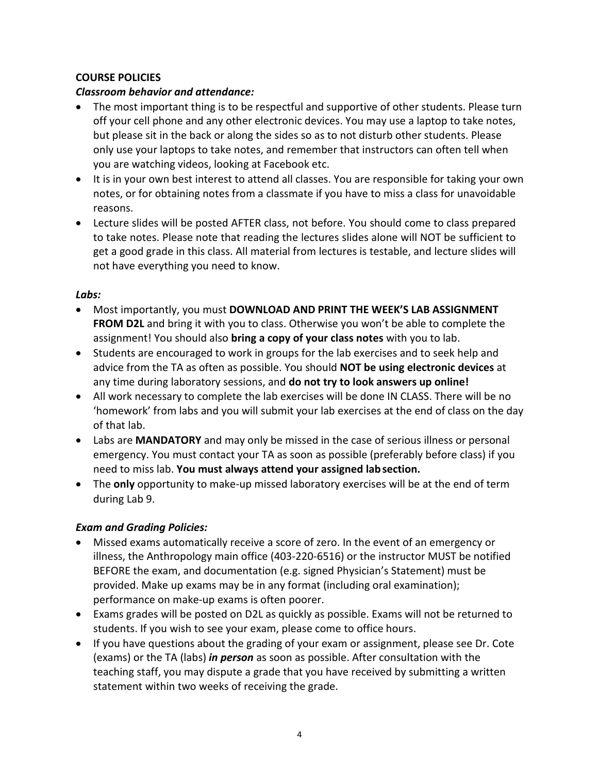# **COURSE POLICIES**

# *Classroom behavior and attendance:*

- The most important thing is to be respectful and supportive of other students. Please turn off your cell phone and any other electronic devices. You may use a laptop to take notes, but please sit in the back or along the sides so as to not disturb other students. Please only use your laptops to take notes, and remember that instructors can often tell when you are watching videos, looking at Facebook etc.
- It is in your own best interest to attend all classes. You are responsible for taking your own notes, or for obtaining notes from a classmate if you have to miss a class for unavoidable reasons.
- Lecture slides will be posted AFTER class, not before. You should come to class prepared to take notes. Please note that reading the lectures slides alone will NOT be sufficient to get a good grade in this class. All material from lectures is testable, and lecture slides will not have everything you need to know.

# *Labs:*

- Most importantly, you must **DOWNLOAD AND PRINT THE WEEK'S LAB ASSIGNMENT FROM D2L** and bring it with you to class. Otherwise you won't be able to complete the assignment! You should also **bring a copy of your class notes** with you to lab.
- Students are encouraged to work in groups for the lab exercises and to seek help and advice from the TA as often as possible. You should **NOT be using electronic devices** at any time during laboratory sessions, and **do not try to look answers up online!**
- All work necessary to complete the lab exercises will be done IN CLASS. There will be no 'homework' from labs and you will submit your lab exercises at the end of class on the day of that lab.
- Labs are **MANDATORY** and may only be missed in the case of serious illness or personal emergency. You must contact your TA as soon as possible (preferably before class) if you need to miss lab. **You must always attend your assigned labsection.**
- The **only** opportunity to make-up missed laboratory exercises will be at the end of term during Lab 9.

# *Exam and Grading Policies:*

- Missed exams automatically receive a score of zero. In the event of an emergency or illness, the Anthropology main office (403-220-6516) or the instructor MUST be notified BEFORE the exam, and documentation (e.g. signed Physician's Statement) must be provided. Make up exams may be in any format (including oral examination); performance on make-up exams is often poorer.
- Exams grades will be posted on D2L as quickly as possible. Exams will not be returned to students. If you wish to see your exam, please come to office hours.
- If you have questions about the grading of your exam or assignment, please see Dr. Cote (exams) or the TA (labs) *in person* as soon as possible. After consultation with the teaching staff, you may dispute a grade that you have received by submitting a written statement within two weeks of receiving the grade.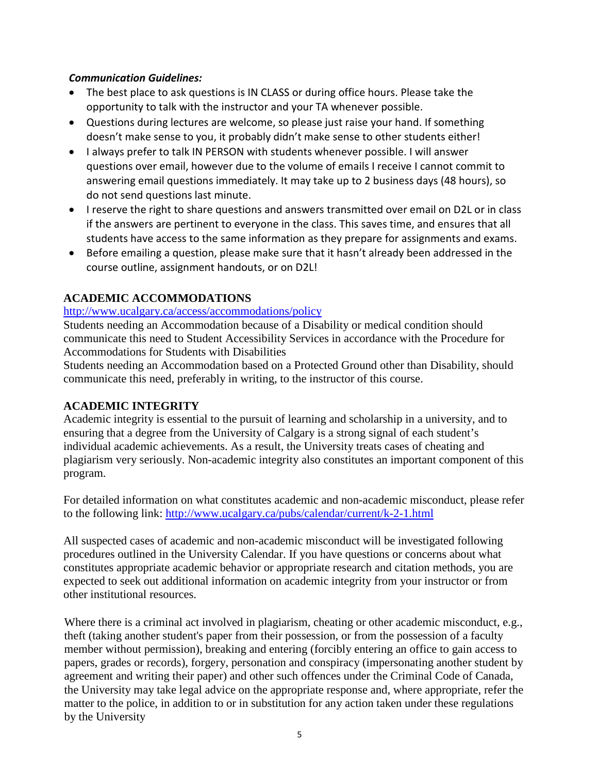#### *Communication Guidelines:*

- The best place to ask questions is IN CLASS or during office hours. Please take the opportunity to talk with the instructor and your TA whenever possible.
- Questions during lectures are welcome, so please just raise your hand. If something doesn't make sense to you, it probably didn't make sense to other students either!
- I always prefer to talk IN PERSON with students whenever possible. I will answer questions over email, however due to the volume of emails I receive I cannot commit to answering email questions immediately. It may take up to 2 business days (48 hours), so do not send questions last minute.
- I reserve the right to share questions and answers transmitted over email on D2L or in class if the answers are pertinent to everyone in the class. This saves time, and ensures that all students have access to the same information as they prepare for assignments and exams.
- Before emailing a question, please make sure that it hasn't already been addressed in the course outline, assignment handouts, or on D2L!

# **ACADEMIC ACCOMMODATIONS**

#### <http://www.ucalgary.ca/access/accommodations/policy>

Students needing an Accommodation because of a Disability or medical condition should communicate this need to Student Accessibility Services in accordance with the Procedure for Accommodations for Students with Disabilities

Students needing an Accommodation based on a Protected Ground other than Disability, should communicate this need, preferably in writing, to the instructor of this course.

# **ACADEMIC INTEGRITY**

Academic integrity is essential to the pursuit of learning and scholarship in a university, and to ensuring that a degree from the University of Calgary is a strong signal of each student's individual academic achievements. As a result, the University treats cases of cheating and plagiarism very seriously. Non-academic integrity also constitutes an important component of this program.

For detailed information on what constitutes academic and non-academic misconduct, please refer to the following link:<http://www.ucalgary.ca/pubs/calendar/current/k-2-1.html>

All suspected cases of academic and non-academic misconduct will be investigated following procedures outlined in the University Calendar. If you have questions or concerns about what constitutes appropriate academic behavior or appropriate research and citation methods, you are expected to seek out additional information on academic integrity from your instructor or from other institutional resources.

Where there is a criminal act involved in plagiarism, cheating or other academic misconduct, e.g., theft (taking another student's paper from their possession, or from the possession of a faculty member without permission), breaking and entering (forcibly entering an office to gain access to papers, grades or records), forgery, personation and conspiracy (impersonating another student by agreement and writing their paper) and other such offences under the Criminal Code of Canada, the University may take legal advice on the appropriate response and, where appropriate, refer the matter to the police, in addition to or in substitution for any action taken under these regulations by the University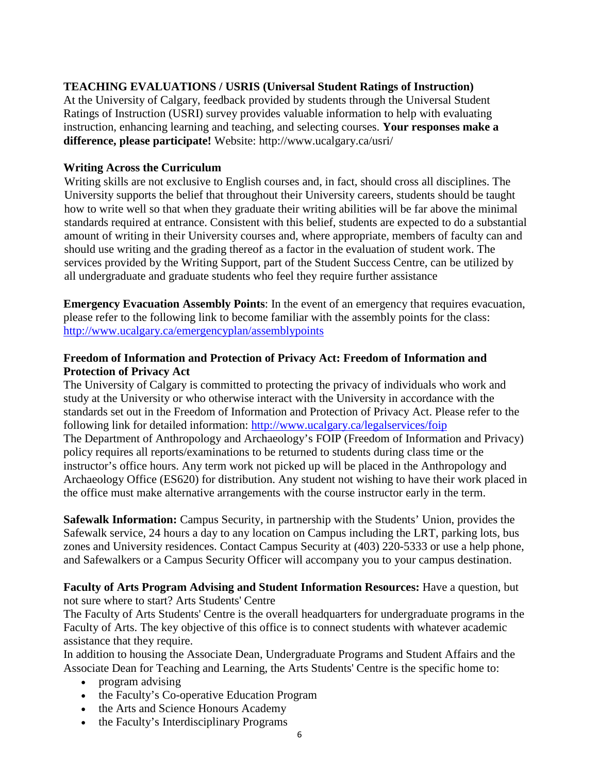#### **TEACHING EVALUATIONS / USRIS (Universal Student Ratings of Instruction)**

At the University of Calgary, feedback provided by students through the Universal Student Ratings of Instruction (USRI) survey provides valuable information to help with evaluating instruction, enhancing learning and teaching, and selecting courses. **Your responses make a difference, please participate!** Website: http://www.ucalgary.ca/usri/

#### **Writing Across the Curriculum**

Writing skills are not exclusive to English courses and, in fact, should cross all disciplines. The University supports the belief that throughout their University careers, students should be taught how to write well so that when they graduate their writing abilities will be far above the minimal standards required at entrance. Consistent with this belief, students are expected to do a substantial amount of writing in their University courses and, where appropriate, members of faculty can and should use writing and the grading thereof as a factor in the evaluation of student work. The services provided by the Writing Support, part of the Student Success Centre, can be utilized by all undergraduate and graduate students who feel they require further assistance

**Emergency Evacuation Assembly Points**: In the event of an emergency that requires evacuation, please refer to the following link to become familiar with the assembly points for the class: <http://www.ucalgary.ca/emergencyplan/assemblypoints>

#### **Freedom of Information and Protection of Privacy Act: Freedom of Information and Protection of Privacy Act**

The University of Calgary is committed to protecting the privacy of individuals who work and study at the University or who otherwise interact with the University in accordance with the standards set out in the Freedom of Information and Protection of Privacy Act. Please refer to the following link for detailed information:<http://www.ucalgary.ca/legalservices/foip> The Department of Anthropology and Archaeology's FOIP (Freedom of Information and Privacy) policy requires all reports/examinations to be returned to students during class time or the instructor's office hours. Any term work not picked up will be placed in the Anthropology and Archaeology Office (ES620) for distribution. Any student not wishing to have their work placed in the office must make alternative arrangements with the course instructor early in the term.

**Safewalk Information:** Campus Security, in partnership with the Students' Union, provides the Safewalk service, 24 hours a day to any location on Campus including the LRT, parking lots, bus zones and University residences. Contact Campus Security at (403) 220-5333 or use a help phone, and Safewalkers or a Campus Security Officer will accompany you to your campus destination.

**Faculty of Arts Program Advising and Student Information Resources:** Have a question, but not sure where to start? Arts Students' Centre

The Faculty of Arts Students' Centre is the overall headquarters for undergraduate programs in the Faculty of Arts. The key objective of this office is to connect students with whatever academic assistance that they require.

In addition to housing the Associate Dean, Undergraduate Programs and Student Affairs and the Associate Dean for Teaching and Learning, the Arts Students' Centre is the specific home to:

- program advising
- the Faculty's Co-operative Education Program
- the Arts and Science Honours Academy
- the Faculty's Interdisciplinary Programs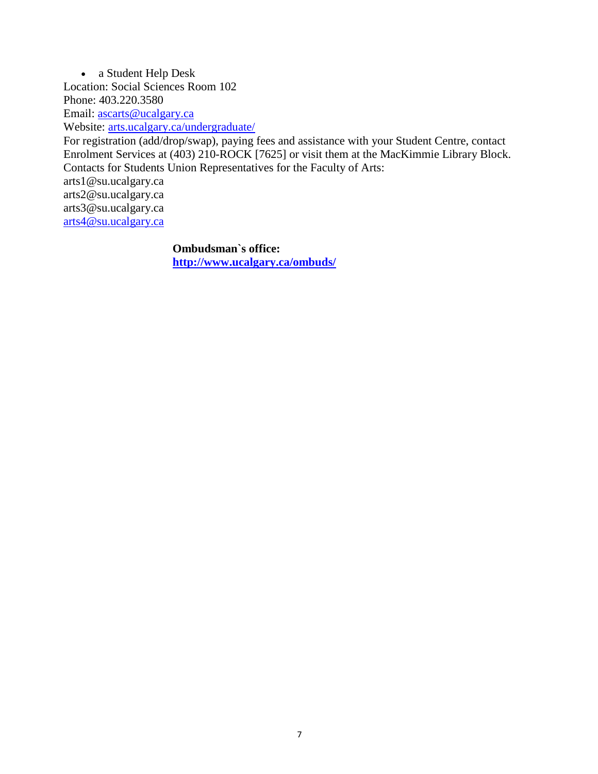• a Student Help Desk Location: Social Sciences Room 102 Phone: 403.220.3580 Email: [ascarts@ucalgary.ca](http://ucalgary.ca/pubs/calendar/current/ascarts@ucalgary.ca) Website: [arts.ucalgary.ca/undergraduate/](http://arts.ucalgary.ca/undergraduate/)

For registration (add/drop/swap), paying fees and assistance with your Student Centre, contact Enrolment Services at (403) 210-ROCK [7625] or visit them at the MacKimmie Library Block. Contacts for Students Union Representatives for the Faculty of Arts: arts1@su.ucalgary.ca arts2@su.ucalgary.ca arts3@su.ucalgary.ca

[arts4@su.ucalgary.ca](mailto:arts4@su.ucalgary.ca)

**Ombudsman`s office: <http://www.ucalgary.ca/ombuds/>**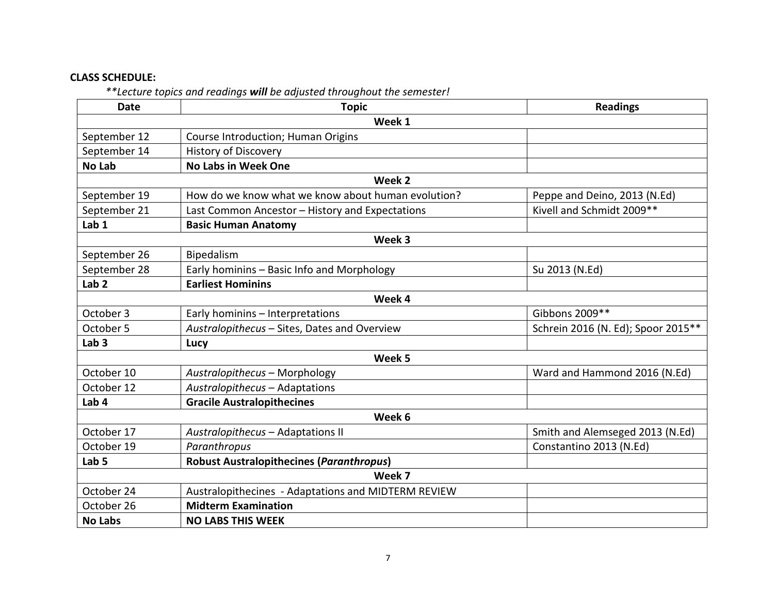# **CLASS SCHEDULE:**

*\*\*Lecture topics and readings will be adjusted throughout the semester!*

| <b>Date</b>      | <b>Topic</b>                                        | <b>Readings</b>                    |  |  |  |  |  |
|------------------|-----------------------------------------------------|------------------------------------|--|--|--|--|--|
| Week 1           |                                                     |                                    |  |  |  |  |  |
| September 12     | Course Introduction; Human Origins                  |                                    |  |  |  |  |  |
| September 14     | <b>History of Discovery</b>                         |                                    |  |  |  |  |  |
| <b>No Lab</b>    | <b>No Labs in Week One</b>                          |                                    |  |  |  |  |  |
|                  | Week 2                                              |                                    |  |  |  |  |  |
| September 19     | How do we know what we know about human evolution?  | Peppe and Deino, 2013 (N.Ed)       |  |  |  |  |  |
| September 21     | Last Common Ancestor - History and Expectations     | Kivell and Schmidt 2009**          |  |  |  |  |  |
| Lab <sub>1</sub> | <b>Basic Human Anatomy</b>                          |                                    |  |  |  |  |  |
| Week 3           |                                                     |                                    |  |  |  |  |  |
| September 26     | Bipedalism                                          |                                    |  |  |  |  |  |
| September 28     | Early hominins - Basic Info and Morphology          | Su 2013 (N.Ed)                     |  |  |  |  |  |
| Lab <sub>2</sub> | <b>Earliest Hominins</b>                            |                                    |  |  |  |  |  |
|                  | Week 4                                              |                                    |  |  |  |  |  |
| October 3        | Early hominins - Interpretations                    | Gibbons 2009**                     |  |  |  |  |  |
| October 5        | Australopithecus - Sites, Dates and Overview        | Schrein 2016 (N. Ed); Spoor 2015** |  |  |  |  |  |
| Lab <sub>3</sub> | Lucy                                                |                                    |  |  |  |  |  |
|                  | Week 5                                              |                                    |  |  |  |  |  |
| October 10       | Australopithecus - Morphology                       | Ward and Hammond 2016 (N.Ed)       |  |  |  |  |  |
| October 12       | Australopithecus - Adaptations                      |                                    |  |  |  |  |  |
| Lab <sub>4</sub> | <b>Gracile Australopithecines</b>                   |                                    |  |  |  |  |  |
| Week 6           |                                                     |                                    |  |  |  |  |  |
| October 17       | Australopithecus - Adaptations II                   | Smith and Alemseged 2013 (N.Ed)    |  |  |  |  |  |
| October 19       | Paranthropus                                        | Constantino 2013 (N.Ed)            |  |  |  |  |  |
| Lab <sub>5</sub> | <b>Robust Australopithecines (Paranthropus)</b>     |                                    |  |  |  |  |  |
|                  | Week 7                                              |                                    |  |  |  |  |  |
| October 24       | Australopithecines - Adaptations and MIDTERM REVIEW |                                    |  |  |  |  |  |
| October 26       | <b>Midterm Examination</b>                          |                                    |  |  |  |  |  |
| <b>No Labs</b>   | <b>NO LABS THIS WEEK</b>                            |                                    |  |  |  |  |  |